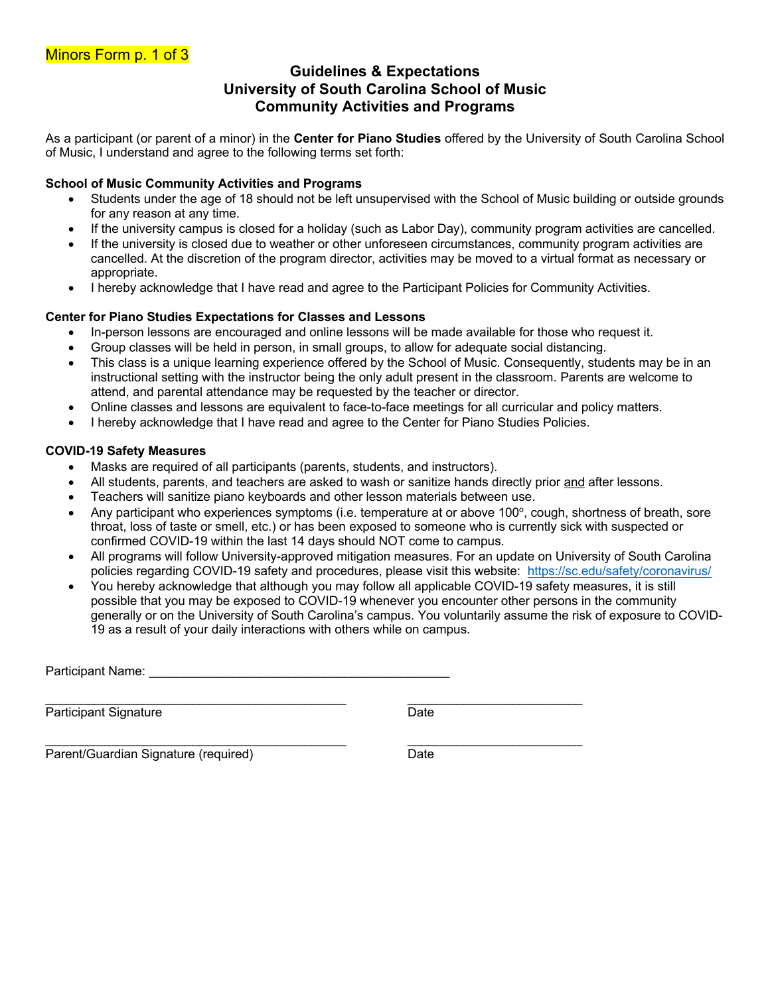# **Guidelines & Expectations University of South Carolina School of Music Community Activities and Programs**

As a participant (or parent of a minor) in the **Center for Piano Studies** offered by the University of South Carolina School of Music, I understand and agree to the following terms set forth:

### **School of Music Community Activities and Programs**

- Students under the age of 18 should not be left unsupervised with the School of Music building or outside grounds for any reason at any time.
- If the university campus is closed for a holiday (such as Labor Day), community program activities are cancelled.
- If the university is closed due to weather or other unforeseen circumstances, community program activities are cancelled. At the discretion of the program director, activities may be moved to a virtual format as necessary or appropriate.
- I hereby acknowledge that I have read and agree to the Participant Policies for Community Activities.

## **Center for Piano Studies Expectations for Classes and Lessons**

- In-person lessons are encouraged and online lessons will be made available for those who request it.
- Group classes will be held in person, in small groups, to allow for adequate social distancing.
- This class is a unique learning experience offered by the School of Music. Consequently, students may be in an instructional setting with the instructor being the only adult present in the classroom. Parents are welcome to attend, and parental attendance may be requested by the teacher or director.
- Online classes and lessons are equivalent to face-to-face meetings for all curricular and policy matters.
- I hereby acknowledge that I have read and agree to the Center for Piano Studies Policies.

### **COVID-19 Safety Measures**

- Masks are required of all participants (parents, students, and instructors).
- All students, parents, and teachers are asked to wash or sanitize hands directly prior and after lessons.
- Teachers will sanitize piano keyboards and other lesson materials between use.

\_\_\_\_\_\_\_\_\_\_\_\_\_\_\_\_\_\_\_\_\_\_\_\_\_\_\_\_\_\_\_\_\_\_\_\_\_\_\_\_\_\_\_ \_\_\_\_\_\_\_\_\_\_\_\_\_\_\_\_\_\_\_\_\_\_\_\_\_

 $\mathcal{L}_\mathcal{L} = \mathcal{L}_\mathcal{L} = \mathcal{L}_\mathcal{L} = \mathcal{L}_\mathcal{L} = \mathcal{L}_\mathcal{L} = \mathcal{L}_\mathcal{L} = \mathcal{L}_\mathcal{L} = \mathcal{L}_\mathcal{L} = \mathcal{L}_\mathcal{L} = \mathcal{L}_\mathcal{L} = \mathcal{L}_\mathcal{L} = \mathcal{L}_\mathcal{L} = \mathcal{L}_\mathcal{L} = \mathcal{L}_\mathcal{L} = \mathcal{L}_\mathcal{L} = \mathcal{L}_\mathcal{L} = \mathcal{L}_\mathcal{L}$ 

- Any participant who experiences symptoms (i.e. temperature at or above 100°, cough, shortness of breath, sore throat, loss of taste or smell, etc.) or has been exposed to someone who is currently sick with suspected or confirmed COVID-19 within the last 14 days should NOT come to campus.
- All programs will follow University-approved mitigation measures. For an update on University of South Carolina policies regarding COVID-19 safety and procedures, please visit this website: https://sc.edu/safety/coronavirus/
- You hereby acknowledge that although you may follow all applicable COVID-19 safety measures, it is still possible that you may be exposed to COVID-19 whenever you encounter other persons in the community generally or on the University of South Carolina's campus. You voluntarily assume the risk of exposure to COVID-19 as a result of your daily interactions with others while on campus.

Participant Name:

Participant Signature Date

Parent/Guardian Signature (required) Date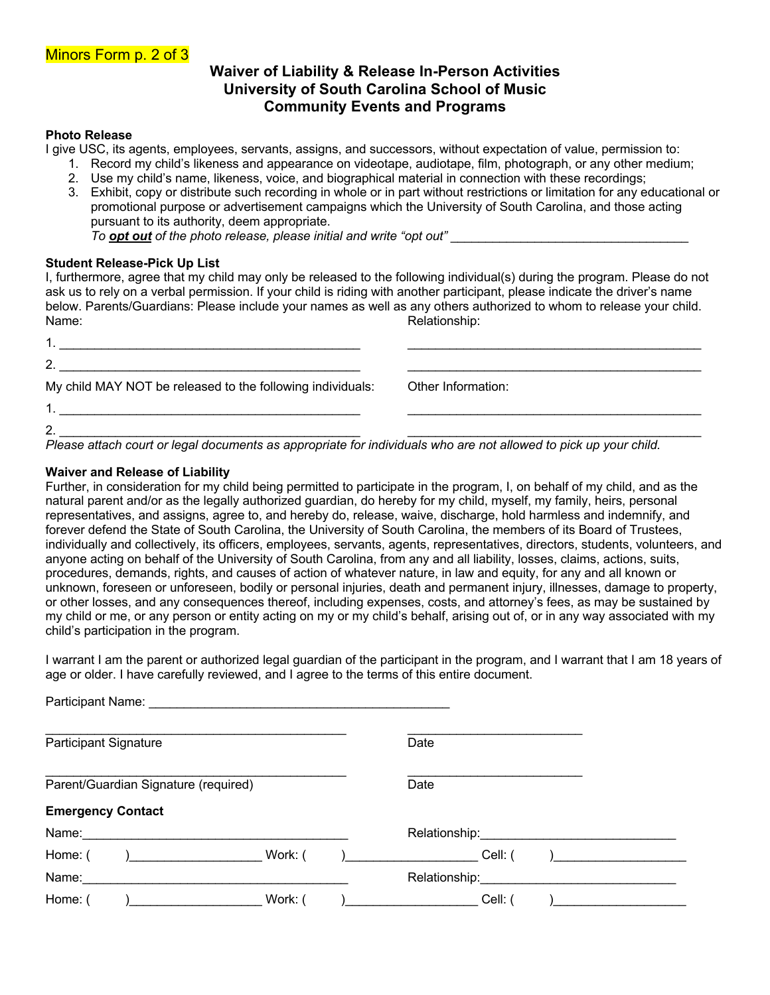# **Waiver of Liability & Release In-Person Activities University of South Carolina School of Music Community Events and Programs**

#### **Photo Release**

I give USC, its agents, employees, servants, assigns, and successors, without expectation of value, permission to:

- 1. Record my child's likeness and appearance on videotape, audiotape, film, photograph, or any other medium;
- 2. Use my child's name, likeness, voice, and biographical material in connection with these recordings;
- 3. Exhibit, copy or distribute such recording in whole or in part without restrictions or limitation for any educational or promotional purpose or advertisement campaigns which the University of South Carolina, and those acting pursuant to its authority, deem appropriate. *To opt out of the photo release, please initial and write "opt out"*

**Student Release-Pick Up List**

|       | I, furthermore, agree that my child may only be released to the following individual(s) during the program. Please do not  |
|-------|----------------------------------------------------------------------------------------------------------------------------|
|       | ask us to rely on a verbal permission. If your child is riding with another participant, please indicate the driver's name |
|       | below. Parents/Guardians: Please include your names as well as any others authorized to whom to release your child.        |
| Name: | Relationship:                                                                                                              |
|       |                                                                                                                            |

| 2                                                          |                    |
|------------------------------------------------------------|--------------------|
| My child MAY NOT be released to the following individuals: | Other Information: |
|                                                            |                    |
| 2.<br>.<br>.<br>$\sim$                                     | .<br>.  .          |

*Please attach court or legal documents as appropriate for individuals who are not allowed to pick up your child.*

#### **Waiver and Release of Liability**

Further, in consideration for my child being permitted to participate in the program, I, on behalf of my child, and as the natural parent and/or as the legally authorized guardian, do hereby for my child, myself, my family, heirs, personal representatives, and assigns, agree to, and hereby do, release, waive, discharge, hold harmless and indemnify, and forever defend the State of South Carolina, the University of South Carolina, the members of its Board of Trustees, individually and collectively, its officers, employees, servants, agents, representatives, directors, students, volunteers, and anyone acting on behalf of the University of South Carolina, from any and all liability, losses, claims, actions, suits, procedures, demands, rights, and causes of action of whatever nature, in law and equity, for any and all known or unknown, foreseen or unforeseen, bodily or personal injuries, death and permanent injury, illnesses, damage to property, or other losses, and any consequences thereof, including expenses, costs, and attorney's fees, as may be sustained by my child or me, or any person or entity acting on my or my child's behalf, arising out of, or in any way associated with my child's participation in the program.

I warrant I am the parent or authorized legal guardian of the participant in the program, and I warrant that I am 18 years of age or older. I have carefully reviewed, and I agree to the terms of this entire document.

| Participant Name: Name: Name and Allen Manual Allen Manual Allen Manual Allen Manual Allen Manual Allen Manual |         |                                                                                                                                                                                                                                |  |
|----------------------------------------------------------------------------------------------------------------|---------|--------------------------------------------------------------------------------------------------------------------------------------------------------------------------------------------------------------------------------|--|
| <b>Participant Signature</b>                                                                                   |         | Date                                                                                                                                                                                                                           |  |
| Parent/Guardian Signature (required)                                                                           |         | Date                                                                                                                                                                                                                           |  |
| <b>Emergency Contact</b>                                                                                       |         |                                                                                                                                                                                                                                |  |
| Name:                                                                                                          |         | Relationship: Network of the state of the state of the state of the state of the state of the state of the state of the state of the state of the state of the state of the state of the state of the state of the state of th |  |
| Home: (                                                                                                        | Work: ( | Cell: (                                                                                                                                                                                                                        |  |
| Name:                                                                                                          |         | Relationship:                                                                                                                                                                                                                  |  |
| Home: (                                                                                                        | Work:   | Cell:                                                                                                                                                                                                                          |  |